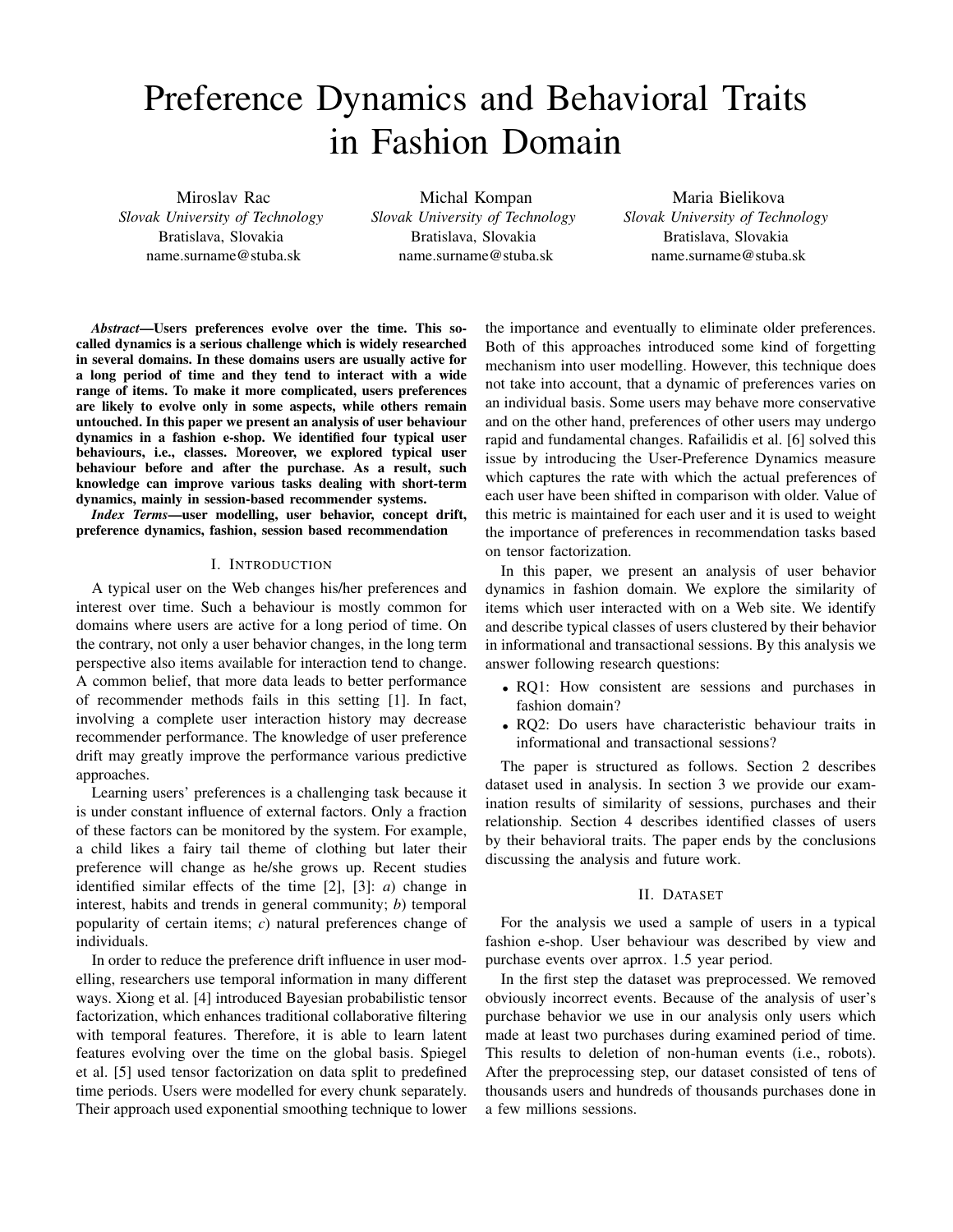# Preference Dynamics and Behavioral Traits in Fashion Domain

Miroslav Rac *Slovak University of Technology* Bratislava, Slovakia name.surname@stuba.sk

Michal Kompan *Slovak University of Technology* Bratislava, Slovakia name.surname@stuba.sk

Maria Bielikova *Slovak University of Technology* Bratislava, Slovakia name.surname@stuba.sk

*Abstract*—Users preferences evolve over the time. This socalled dynamics is a serious challenge which is widely researched in several domains. In these domains users are usually active for a long period of time and they tend to interact with a wide range of items. To make it more complicated, users preferences are likely to evolve only in some aspects, while others remain untouched. In this paper we present an analysis of user behaviour dynamics in a fashion e-shop. We identified four typical user behaviours, i.e., classes. Moreover, we explored typical user behaviour before and after the purchase. As a result, such knowledge can improve various tasks dealing with short-term dynamics, mainly in session-based recommender systems.

*Index Terms*—user modelling, user behavior, concept drift, preference dynamics, fashion, session based recommendation

#### I. INTRODUCTION

A typical user on the Web changes his/her preferences and interest over time. Such a behaviour is mostly common for domains where users are active for a long period of time. On the contrary, not only a user behavior changes, in the long term perspective also items available for interaction tend to change. A common belief, that more data leads to better performance of recommender methods fails in this setting [1]. In fact, involving a complete user interaction history may decrease recommender performance. The knowledge of user preference drift may greatly improve the performance various predictive approaches.

Learning users' preferences is a challenging task because it is under constant influence of external factors. Only a fraction of these factors can be monitored by the system. For example, a child likes a fairy tail theme of clothing but later their preference will change as he/she grows up. Recent studies identified similar effects of the time [2], [3]: *a*) change in interest, habits and trends in general community; *b*) temporal popularity of certain items; *c*) natural preferences change of individuals.

In order to reduce the preference drift influence in user modelling, researchers use temporal information in many different ways. Xiong et al. [4] introduced Bayesian probabilistic tensor factorization, which enhances traditional collaborative filtering with temporal features. Therefore, it is able to learn latent features evolving over the time on the global basis. Spiegel et al. [5] used tensor factorization on data split to predefined time periods. Users were modelled for every chunk separately. Their approach used exponential smoothing technique to lower

the importance and eventually to eliminate older preferences. Both of this approaches introduced some kind of forgetting mechanism into user modelling. However, this technique does not take into account, that a dynamic of preferences varies on an individual basis. Some users may behave more conservative and on the other hand, preferences of other users may undergo rapid and fundamental changes. Rafailidis et al. [6] solved this issue by introducing the User-Preference Dynamics measure which captures the rate with which the actual preferences of each user have been shifted in comparison with older. Value of this metric is maintained for each user and it is used to weight the importance of preferences in recommendation tasks based on tensor factorization.

In this paper, we present an analysis of user behavior dynamics in fashion domain. We explore the similarity of items which user interacted with on a Web site. We identify and describe typical classes of users clustered by their behavior in informational and transactional sessions. By this analysis we answer following research questions:

- RQ1: How consistent are sessions and purchases in fashion domain?
- RQ2: Do users have characteristic behaviour traits in informational and transactional sessions?

The paper is structured as follows. Section 2 describes dataset used in analysis. In section 3 we provide our examination results of similarity of sessions, purchases and their relationship. Section 4 describes identified classes of users by their behavioral traits. The paper ends by the conclusions discussing the analysis and future work.

## II. DATASET

For the analysis we used a sample of users in a typical fashion e-shop. User behaviour was described by view and purchase events over aprrox. 1.5 year period.

In the first step the dataset was preprocessed. We removed obviously incorrect events. Because of the analysis of user's purchase behavior we use in our analysis only users which made at least two purchases during examined period of time. This results to deletion of non-human events (i.e., robots). After the preprocessing step, our dataset consisted of tens of thousands users and hundreds of thousands purchases done in a few millions sessions.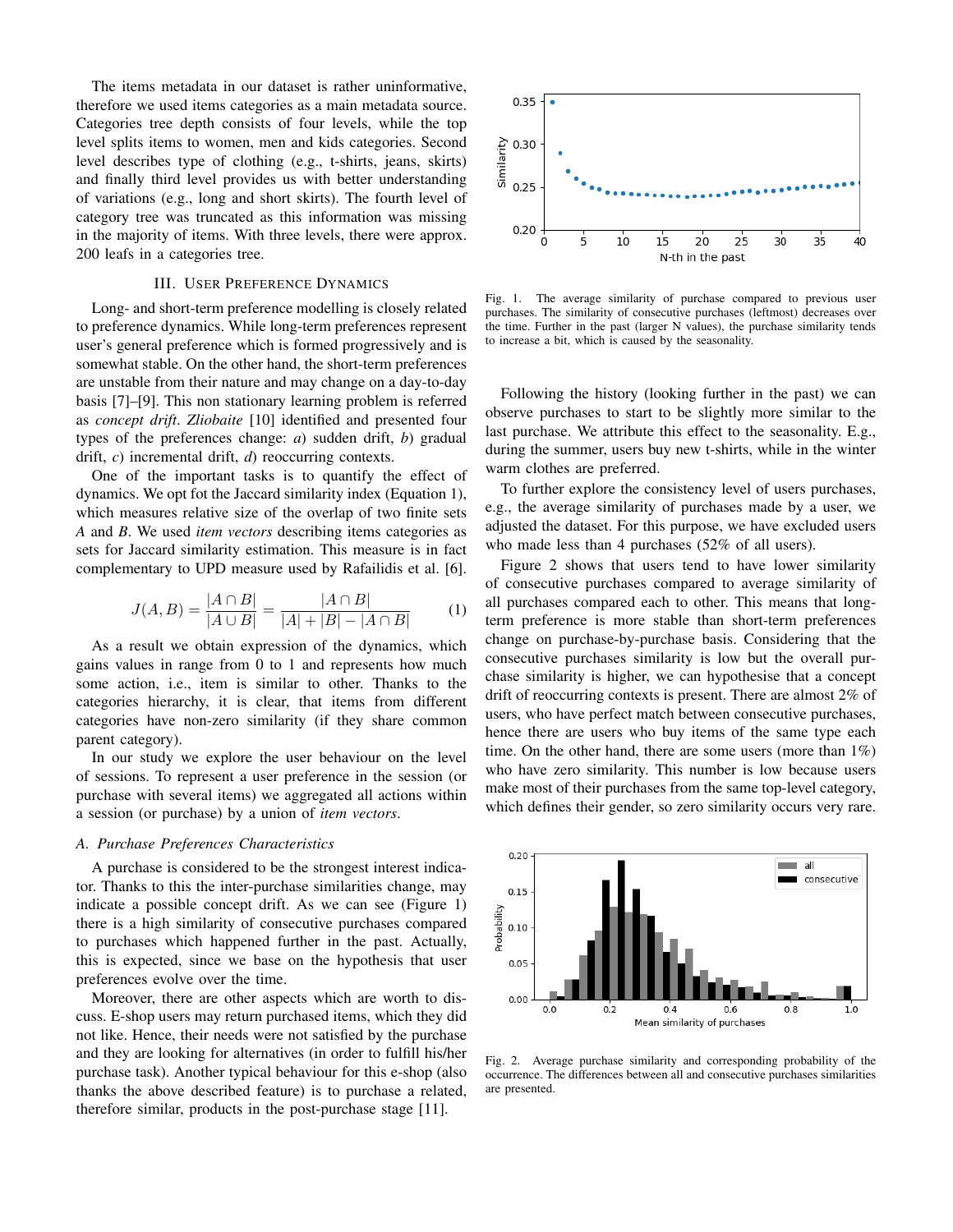The items metadata in our dataset is rather uninformative, therefore we used items categories as a main metadata source. Categories tree depth consists of four levels, while the top level splits items to women, men and kids categories. Second level describes type of clothing (e.g., t-shirts, jeans, skirts) and finally third level provides us with better understanding of variations (e.g., long and short skirts). The fourth level of category tree was truncated as this information was missing in the majority of items. With three levels, there were approx. 200 leafs in a categories tree.

# III. USER PREFERENCE DYNAMICS

Long- and short-term preference modelling is closely related to preference dynamics. While long-term preferences represent user's general preference which is formed progressively and is somewhat stable. On the other hand, the short-term preferences are unstable from their nature and may change on a day-to-day basis [7]–[9]. This non stationary learning problem is referred as *concept drift*. *Zliobaite* [10] identified and presented four types of the preferences change: *a*) sudden drift, *b*) gradual drift, *c*) incremental drift, *d*) reoccurring contexts.

One of the important tasks is to quantify the effect of dynamics. We opt fot the Jaccard similarity index (Equation 1), which measures relative size of the overlap of two finite sets *A* and *B*. We used *item vectors* describing items categories as sets for Jaccard similarity estimation. This measure is in fact complementary to UPD measure used by Rafailidis et al. [6].

$$
J(A, B) = \frac{|A \cap B|}{|A \cup B|} = \frac{|A \cap B|}{|A| + |B| - |A \cap B|}
$$
 (1)

As a result we obtain expression of the dynamics, which gains values in range from 0 to 1 and represents how much some action, i.e., item is similar to other. Thanks to the categories hierarchy, it is clear, that items from different categories have non-zero similarity (if they share common parent category).

In our study we explore the user behaviour on the level of sessions. To represent a user preference in the session (or purchase with several items) we aggregated all actions within a session (or purchase) by a union of *item vectors*.

#### *A. Purchase Preferences Characteristics*

A purchase is considered to be the strongest interest indicator. Thanks to this the inter-purchase similarities change, may indicate a possible concept drift. As we can see (Figure 1) there is a high similarity of consecutive purchases compared to purchases which happened further in the past. Actually, this is expected, since we base on the hypothesis that user preferences evolve over the time.

Moreover, there are other aspects which are worth to discuss. E-shop users may return purchased items, which they did not like. Hence, their needs were not satisfied by the purchase and they are looking for alternatives (in order to fulfill his/her purchase task). Another typical behaviour for this e-shop (also thanks the above described feature) is to purchase a related, therefore similar, products in the post-purchase stage [11].



Fig. 1. The average similarity of purchase compared to previous user purchases. The similarity of consecutive purchases (leftmost) decreases over the time. Further in the past (larger N values), the purchase similarity tends to increase a bit, which is caused by the seasonality.

Following the history (looking further in the past) we can observe purchases to start to be slightly more similar to the last purchase. We attribute this effect to the seasonality. E.g., during the summer, users buy new t-shirts, while in the winter warm clothes are preferred.

To further explore the consistency level of users purchases, e.g., the average similarity of purchases made by a user, we adjusted the dataset. For this purpose, we have excluded users who made less than 4 purchases (52% of all users).

Figure 2 shows that users tend to have lower similarity of consecutive purchases compared to average similarity of all purchases compared each to other. This means that longterm preference is more stable than short-term preferences change on purchase-by-purchase basis. Considering that the consecutive purchases similarity is low but the overall purchase similarity is higher, we can hypothesise that a concept drift of reoccurring contexts is present. There are almost 2% of users, who have perfect match between consecutive purchases, hence there are users who buy items of the same type each time. On the other hand, there are some users (more than 1%) who have zero similarity. This number is low because users make most of their purchases from the same top-level category, which defines their gender, so zero similarity occurs very rare.



Fig. 2. Average purchase similarity and corresponding probability of the occurrence. The differences between all and consecutive purchases similarities are presented.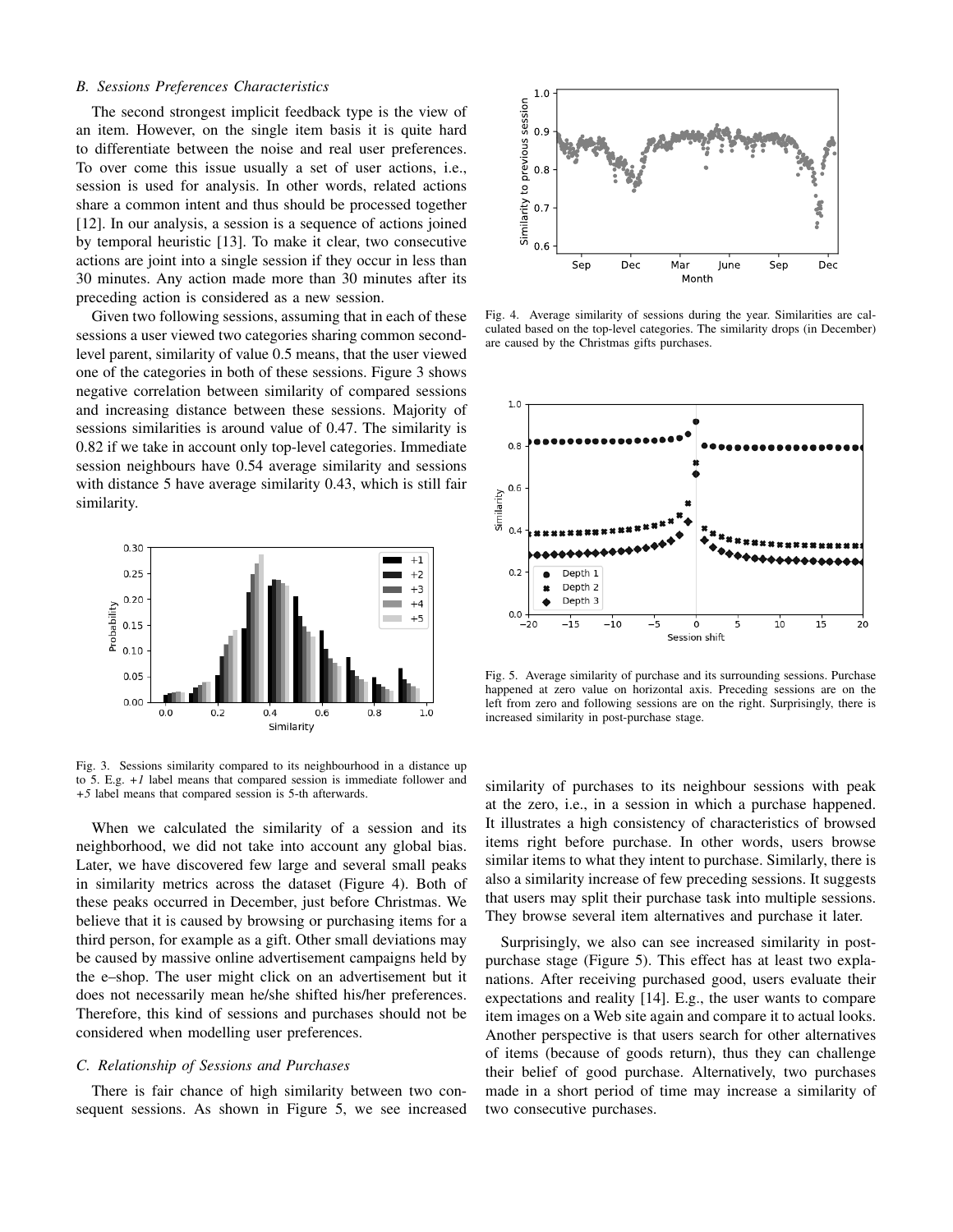# *B. Sessions Preferences Characteristics*

The second strongest implicit feedback type is the view of an item. However, on the single item basis it is quite hard to differentiate between the noise and real user preferences. To over come this issue usually a set of user actions, i.e., session is used for analysis. In other words, related actions share a common intent and thus should be processed together [12]. In our analysis, a session is a sequence of actions joined by temporal heuristic [13]. To make it clear, two consecutive actions are joint into a single session if they occur in less than 30 minutes. Any action made more than 30 minutes after its preceding action is considered as a new session.

Given two following sessions, assuming that in each of these sessions a user viewed two categories sharing common secondlevel parent, similarity of value 0.5 means, that the user viewed one of the categories in both of these sessions. Figure 3 shows negative correlation between similarity of compared sessions and increasing distance between these sessions. Majority of sessions similarities is around value of 0.47. The similarity is 0.82 if we take in account only top-level categories. Immediate session neighbours have 0.54 average similarity and sessions with distance 5 have average similarity 0.43, which is still fair similarity.



Fig. 3. Sessions similarity compared to its neighbourhood in a distance up to 5. E.g. *+1* label means that compared session is immediate follower and *+5* label means that compared session is 5-th afterwards.

When we calculated the similarity of a session and its neighborhood, we did not take into account any global bias. Later, we have discovered few large and several small peaks in similarity metrics across the dataset (Figure 4). Both of these peaks occurred in December, just before Christmas. We believe that it is caused by browsing or purchasing items for a third person, for example as a gift. Other small deviations may be caused by massive online advertisement campaigns held by the e–shop. The user might click on an advertisement but it does not necessarily mean he/she shifted his/her preferences. Therefore, this kind of sessions and purchases should not be considered when modelling user preferences.

#### *C. Relationship of Sessions and Purchases*

There is fair chance of high similarity between two consequent sessions. As shown in Figure 5, we see increased



Fig. 4. Average similarity of sessions during the year. Similarities are calculated based on the top-level categories. The similarity drops (in December) are caused by the Christmas gifts purchases.



Fig. 5. Average similarity of purchase and its surrounding sessions. Purchase happened at zero value on horizontal axis. Preceding sessions are on the left from zero and following sessions are on the right. Surprisingly, there is increased similarity in post-purchase stage.

similarity of purchases to its neighbour sessions with peak at the zero, i.e., in a session in which a purchase happened. It illustrates a high consistency of characteristics of browsed items right before purchase. In other words, users browse similar items to what they intent to purchase. Similarly, there is also a similarity increase of few preceding sessions. It suggests that users may split their purchase task into multiple sessions. They browse several item alternatives and purchase it later.

Surprisingly, we also can see increased similarity in postpurchase stage (Figure 5). This effect has at least two explanations. After receiving purchased good, users evaluate their expectations and reality [14]. E.g., the user wants to compare item images on a Web site again and compare it to actual looks. Another perspective is that users search for other alternatives of items (because of goods return), thus they can challenge their belief of good purchase. Alternatively, two purchases made in a short period of time may increase a similarity of two consecutive purchases.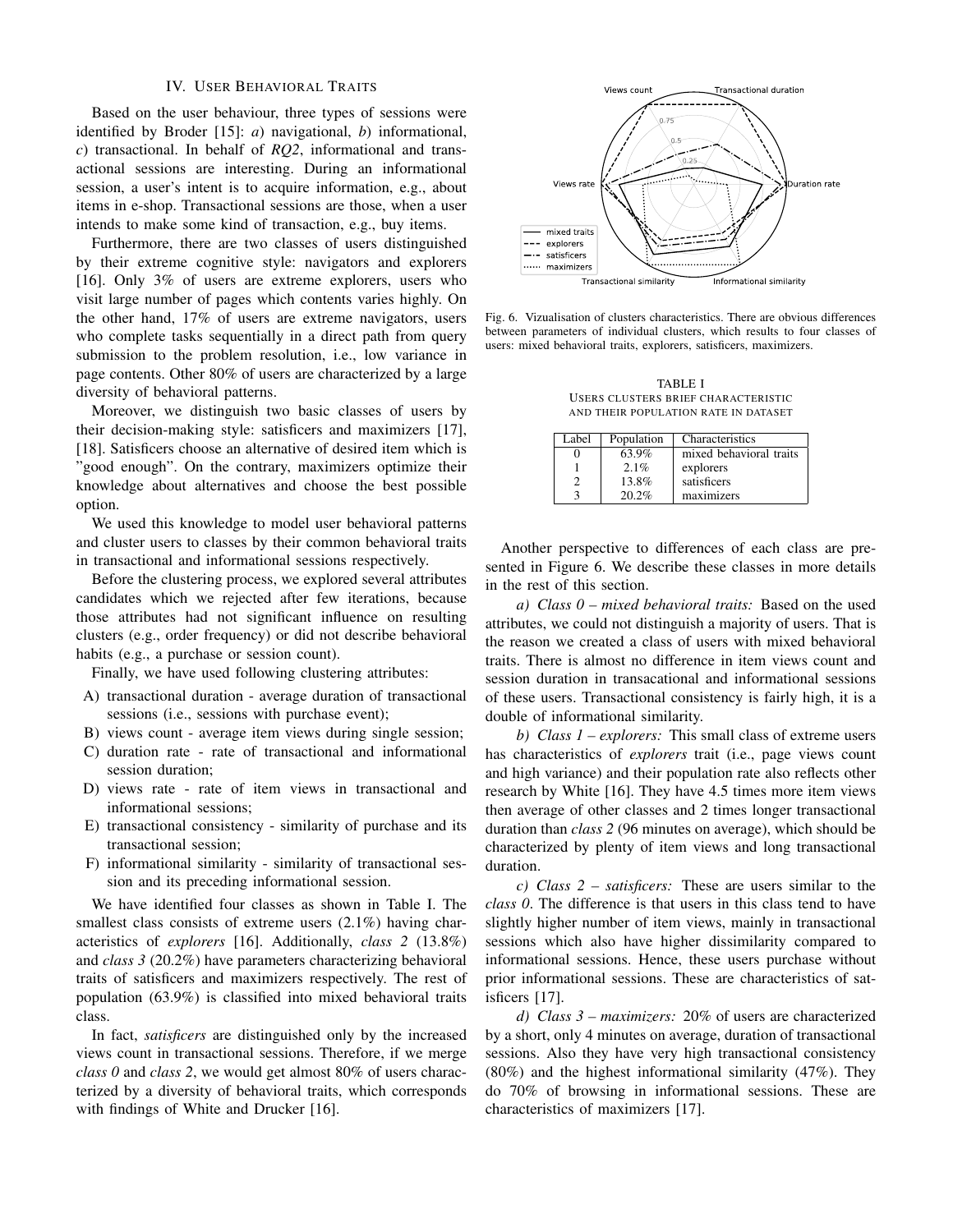## IV. USER BEHAVIORAL TRAITS

Based on the user behaviour, three types of sessions were identified by Broder [15]: *a*) navigational, *b*) informational, *c*) transactional. In behalf of *RQ2*, informational and transactional sessions are interesting. During an informational session, a user's intent is to acquire information, e.g., about items in e-shop. Transactional sessions are those, when a user intends to make some kind of transaction, e.g., buy items.

Furthermore, there are two classes of users distinguished by their extreme cognitive style: navigators and explorers [16]. Only 3% of users are extreme explorers, users who visit large number of pages which contents varies highly. On the other hand, 17% of users are extreme navigators, users who complete tasks sequentially in a direct path from query submission to the problem resolution, i.e., low variance in page contents. Other 80% of users are characterized by a large diversity of behavioral patterns.

Moreover, we distinguish two basic classes of users by their decision-making style: satisficers and maximizers [17], [18]. Satisficers choose an alternative of desired item which is "good enough". On the contrary, maximizers optimize their knowledge about alternatives and choose the best possible option.

We used this knowledge to model user behavioral patterns and cluster users to classes by their common behavioral traits in transactional and informational sessions respectively.

Before the clustering process, we explored several attributes candidates which we rejected after few iterations, because those attributes had not significant influence on resulting clusters (e.g., order frequency) or did not describe behavioral habits (e.g., a purchase or session count).

Finally, we have used following clustering attributes:

- A) transactional duration average duration of transactional sessions (i.e., sessions with purchase event);
- B) views count average item views during single session;
- C) duration rate rate of transactional and informational session duration;
- D) views rate rate of item views in transactional and informational sessions;
- E) transactional consistency similarity of purchase and its transactional session;
- F) informational similarity similarity of transactional session and its preceding informational session.

We have identified four classes as shown in Table I. The smallest class consists of extreme users  $(2.1\%)$  having characteristics of *explorers* [16]. Additionally, *class 2* (13.8%) and *class 3* (20.2%) have parameters characterizing behavioral traits of satisficers and maximizers respectively. The rest of population (63.9%) is classified into mixed behavioral traits class.

In fact, *satisficers* are distinguished only by the increased views count in transactional sessions. Therefore, if we merge *class 0* and *class 2*, we would get almost 80% of users characterized by a diversity of behavioral traits, which corresponds with findings of White and Drucker [16].



Fig. 6. Vizualisation of clusters characteristics. There are obvious differences between parameters of individual clusters, which results to four classes of users: mixed behavioral traits, explorers, satisficers, maximizers.

TABLE I USERS CLUSTERS BRIEF CHARACTERISTIC AND THEIR POPULATION RATE IN DATASET

| Label | Population | Characteristics         |
|-------|------------|-------------------------|
|       | 63.9%      | mixed behavioral traits |
|       | 2.1%       | explorers               |
|       | 13.8%      | satisficers             |
|       | 20.2%      | maximizers              |

Another perspective to differences of each class are presented in Figure 6. We describe these classes in more details in the rest of this section.

*a) Class 0 – mixed behavioral traits:* Based on the used attributes, we could not distinguish a majority of users. That is the reason we created a class of users with mixed behavioral traits. There is almost no difference in item views count and session duration in transacational and informational sessions of these users. Transactional consistency is fairly high, it is a double of informational similarity.

*b) Class 1 – explorers:* This small class of extreme users has characteristics of *explorers* trait (i.e., page views count and high variance) and their population rate also reflects other research by White [16]. They have 4.5 times more item views then average of other classes and 2 times longer transactional duration than *class 2* (96 minutes on average), which should be characterized by plenty of item views and long transactional duration.

*c) Class 2 – satisficers:* These are users similar to the *class 0*. The difference is that users in this class tend to have slightly higher number of item views, mainly in transactional sessions which also have higher dissimilarity compared to informational sessions. Hence, these users purchase without prior informational sessions. These are characteristics of satisficers [17].

*d) Class 3 – maximizers:* 20% of users are characterized by a short, only 4 minutes on average, duration of transactional sessions. Also they have very high transactional consistency (80%) and the highest informational similarity (47%). They do 70% of browsing in informational sessions. These are characteristics of maximizers [17].